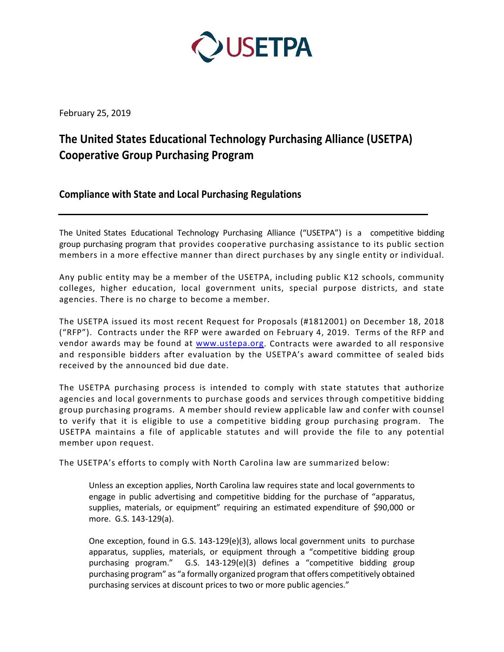

February 25, 2019

# **The United States Educational Technology Purchasing Alliance (USETPA) Cooperative Group Purchasing Program**

**Compliance with State and Local Purchasing Regulations**

The United States Educational Technology Purchasing Alliance ("USETPA") is a competitive bidding group purchasing program that provides cooperative purchasing assistance to its public section members in a more effective manner than direct purchases by any single entity or individual.

Any public entity may be a member of the USETPA, including public K12 schools, community colleges, higher education, local government units, special purpose districts, and state agencies. There is no charge to become a member.

The USETPA issued its most recent Request for Proposals (#1812001) on December 18, 2018 ("RFP"). Contracts under the RFP were awarded on February 4, 2019. Terms of the RFP and vendor awards may be found at [www.ustepa.org.](http://www.ustepa.org/) Contracts were awarded to all responsive and responsible bidders after evaluation by the USETPA's award committee of sealed bids received by the announced bid due date.

The USETPA purchasing process is intended to comply with state statutes that authorize agencies and local governments to purchase goods and services through competitive bidding group purchasing programs. A member should review applicable law and confer with counsel to verify that it is eligible to use a competitive bidding group purchasing program. The USETPA maintains a file of applicable statutes and will provide the file to any potential member upon request.

The USETPA's efforts to comply with North Carolina law are summarized below:

Unless an exception applies, North Carolina law requires state and local governments to engage in public advertising and competitive bidding for the purchase of "apparatus, supplies, materials, or equipment" requiring an estimated expenditure of \$90,000 or more. G.S. 143-129(a).

One exception, found in G.S. 143-129(e)(3), allows local government units to purchase apparatus, supplies, materials, or equipment through a "competitive bidding group purchasing program." G.S. 143-129(e)(3) defines a "competitive bidding group purchasing program" as "a formally organized program that offers competitively obtained purchasing services at discount prices to two or more public agencies."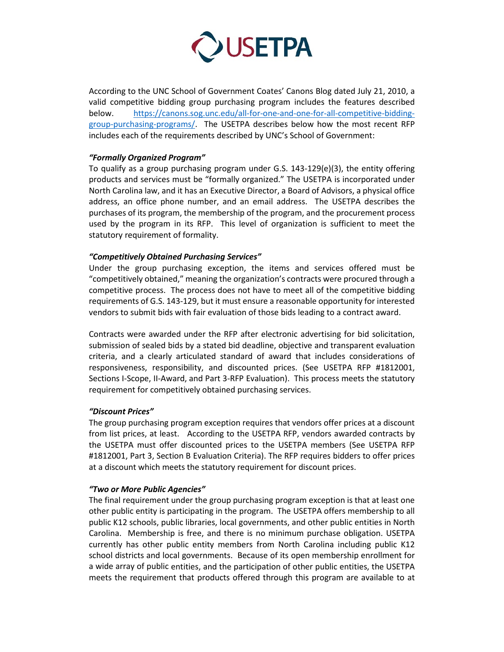

According to the UNC School of Government Coates' Canons Blog dated July 21, 2010, a valid competitive bidding group purchasing program includes the features described below. [https://canons.sog.unc.edu/all-for-one-and-one-for-all-competitive-bidding](https://canons.sog.unc.edu/all-for-one-and-one-for-all-competitive-bidding-group-purchasing-programs/)[group-purchasing-programs/.](https://canons.sog.unc.edu/all-for-one-and-one-for-all-competitive-bidding-group-purchasing-programs/) The USETPA describes below how the most recent RFP includes each of the requirements described by UNC's School of Government:

### *"Formally Organized Program"*

To qualify as a group purchasing program under G.S. 143-129(e)(3), the entity offering products and services must be "formally organized." The USETPA is incorporated under North Carolina law, and it has an Executive Director, a Board of Advisors, a physical office address, an office phone number, and an email address. The USETPA describes the purchases of its program, the membership of the program, and the procurement process used by the program in its RFP. This level of organization is sufficient to meet the statutory requirement of formality.

### *"Competitively Obtained Purchasing Services"*

Under the group purchasing exception, the items and services offered must be "competitively obtained," meaning the organization's contracts were procured through a competitive process. The process does not have to meet all of the competitive bidding requirements of G.S. 143-129, but it must ensure a reasonable opportunity for interested vendors to submit bids with fair evaluation of those bids leading to a contract award.

Contracts were awarded under the RFP after electronic advertising for bid solicitation, submission of sealed bids by a stated bid deadline, objective and transparent evaluation criteria, and a clearly articulated standard of award that includes considerations of responsiveness, responsibility, and discounted prices. (See USETPA RFP #1812001, Sections I-Scope, II-Award, and Part 3-RFP Evaluation). This process meets the statutory requirement for competitively obtained purchasing services.

## *"Discount Prices"*

The group purchasing program exception requires that vendors offer prices at a discount from list prices, at least. According to the USETPA RFP, vendors awarded contracts by the USETPA must offer discounted prices to the USETPA members (See USETPA RFP #1812001, Part 3, Section B Evaluation Criteria). The RFP requires bidders to offer prices at a discount which meets the statutory requirement for discount prices.

#### *"Two or More Public Agencies"*

The final requirement under the group purchasing program exception is that at least one other public entity is participating in the program. The USETPA offers membership to all public K12 schools, public libraries, local governments, and other public entities in North Carolina. Membership is free, and there is no minimum purchase obligation. USETPA currently has other public entity members from North Carolina including public K12 school districts and local governments. Because of its open membership enrollment for a wide array of public entities, and the participation of other public entities, the USETPA meets the requirement that products offered through this program are available to at